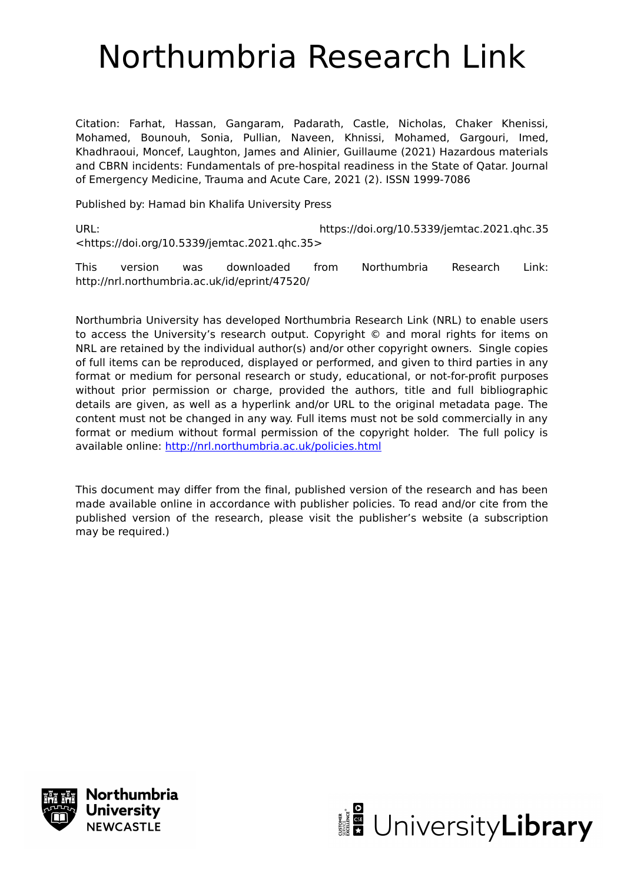# Northumbria Research Link

Citation: Farhat, Hassan, Gangaram, Padarath, Castle, Nicholas, Chaker Khenissi, Mohamed, Bounouh, Sonia, Pullian, Naveen, Khnissi, Mohamed, Gargouri, Imed, Khadhraoui, Moncef, Laughton, James and Alinier, Guillaume (2021) Hazardous materials and CBRN incidents: Fundamentals of pre-hospital readiness in the State of Qatar. Journal of Emergency Medicine, Trauma and Acute Care, 2021 (2). ISSN 1999-7086

Published by: Hamad bin Khalifa University Press

URL: https://doi.org/10.5339/jemtac.2021.qhc.35 <https://doi.org/10.5339/jemtac.2021.qhc.35>

This version was downloaded from Northumbria Research Link: http://nrl.northumbria.ac.uk/id/eprint/47520/

Northumbria University has developed Northumbria Research Link (NRL) to enable users to access the University's research output. Copyright © and moral rights for items on NRL are retained by the individual author(s) and/or other copyright owners. Single copies of full items can be reproduced, displayed or performed, and given to third parties in any format or medium for personal research or study, educational, or not-for-profit purposes without prior permission or charge, provided the authors, title and full bibliographic details are given, as well as a hyperlink and/or URL to the original metadata page. The content must not be changed in any way. Full items must not be sold commercially in any format or medium without formal permission of the copyright holder. The full policy is available online:<http://nrl.northumbria.ac.uk/policies.html>

This document may differ from the final, published version of the research and has been made available online in accordance with publisher policies. To read and/or cite from the published version of the research, please visit the publisher's website (a subscription may be required.)



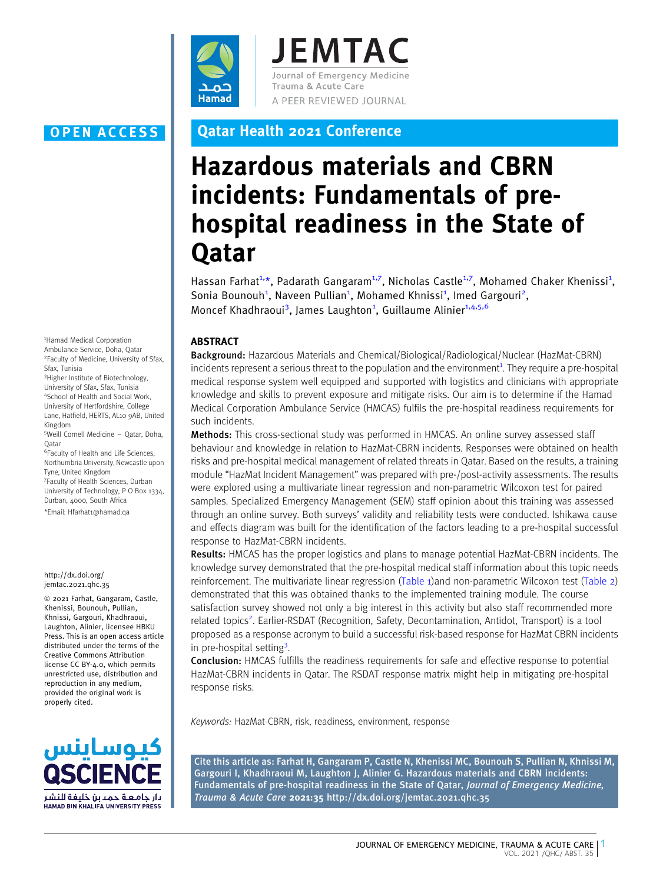

**JEMTAC** Journal of Emergency Medicine Trauma & Acute Care A PEER REVIEWED JOURNAL

1 Hamad Medical Corporation Ambulance Service, Doha, Qatar 2 Faculty of Medicine, University of Sfax, Sfax, Tunisia

3 Higher Institute of Biotechnology, University of Sfax, Sfax, Tunisia 4 School of Health and Social Work, University of Hertfordshire, College Lane, Hatfield, HERTS, AL10 9AB, United Kingdom

5 Weill Cornell Medicine – Qatar, Doha, **O**atar

6 Faculty of Health and Life Sciences, Northumbria University, Newcastle upon Tyne, United Kingdom

7 Faculty of Health Sciences, Durban University of Technology, P O Box 1334, Durban, 4000, South Africa

\*Email: Hfarhat1@hamad.qa

### http://dx.doi.org/ jemtac.2021.qhc.35

© 2021 Farhat, Gangaram, Castle, Khenissi, Bounouh, Pullian, Khnissi, Gargouri, Khadhraoui, Laughton, Alinier, licensee HBKU Press. This is an open access article distributed under the terms of the Creative Commons Attribution license CC BY-4.0, which permits unrestricted use, distribution and reproduction in any medium, provided the original work is properly cited.



### OPEN ACCESS Qatar Health 2021 Conference

## Hazardous materials and CBRN incidents: Fundamentals of prehospital readiness in the State of **Qatar**

Hassan Farhat<sup>1,\*</sup>, Padarath Gangaram<sup>1,7</sup>, Nicholas Castle<sup>1,7</sup>, Mohamed Chaker Khenissi<sup>1</sup>, Sonia Bounouh<sup>1</sup>, Naveen Pullian<sup>1</sup>, Mohamed Khnissi<sup>1</sup>, Imed Gargouri<sup>2</sup>, Moncef Khadhraoui<sup>3</sup>, James Laughton<sup>1</sup>, Guillaume Alinier<sup>1,4,5,6</sup>

### ABSTRACT

Background: Hazardous Materials and Chemical/Biological/Radiological/Nuclear (HazMat-CBRN) incidents represent a serious threat to the population and the environment<sup>[1](#page-3-0)</sup>[. They require a pre-hospital](#page-3-0) [medical response system well equipped and supported with logistics and clinicians with appropriate](#page-3-0) [knowledge and skills to prevent exposure and mitigate risks. Our aim is to determine if the Hamad](#page-3-0) [Medical Corporation Ambulance Service \(HMCAS\) fulfils the pre-hospital readiness requirements for](#page-3-0) [such incidents.](#page-3-0)

Methods: This cross-sectional study was performed in HMCAS. An online survey assessed staff behaviour and knowledge in relation to HazMat-CBRN incidents. Responses were obtained on health risks and pre-hospital medical management of related threats in Qatar. Based on the results, a training module "HazMat Incident Management" was prepared with pre-/post-activity assessments. The results were explored using a multivariate linear regression and non-parametric Wilcoxon test for paired samples. Specialized Emergency Management (SEM) staff opinion about this training was assessed through an online survey. Both surveys' validity and reliability tests were conducted. Ishikawa cause and effects diagram was built for the identification of the factors leading to a pre-hospital successful response to HazMat-CBRN incidents.

Results: HMCAS has the proper logistics and plans to manage potential HazMat-CBRN incidents. The knowledge survey demonstrated that the pre-hospital medical staff information about this topic needs reinforcement. The multivariate linear regression (Table 1)and non-parametric Wilcoxon test (Table 2) demonstrated that this was obtained thanks to the implemented training module. The course satisfaction survey showed not only a big interest in this activity but also staff recommended more [related](#page-3-0) [topics](#page-3-0)<sup>2</sup>[. Earlier-RSDAT \(Recognition, Safety, Decontamination, Antidot, Transport\) is a tool](#page-3-0) [proposed as a response acronym to build a successful risk-based response for HazMat CBRN incidents](#page-3-0) [in](#page-3-0) [pre-hospital](#page-3-0) setting<sup>3</sup>[.](#page-3-0)

Conclusion: HMCAS fulfills the readiness requirements for safe and effective response to potential HazMat-CBRN incidents in Qatar. The RSDAT response matrix might help in mitigating pre-hospital response risks.

Keywords: HazMat-CBRN, risk, readiness, environment, response

Cite this article as: Farhat H, Gangaram P, Castle N, Khenissi MC, Bounouh S, Pullian N, Khnissi M, Gargouri I, Khadhraoui M, Laughton J, Alinier G. Hazardous materials and CBRN incidents: Fundamentals of pre-hospital readiness in the State of Qatar, Journal of Emergency Medicine, Trauma & Acute Care 2021:35 http://dx.doi.org/jemtac.2021.qhc.35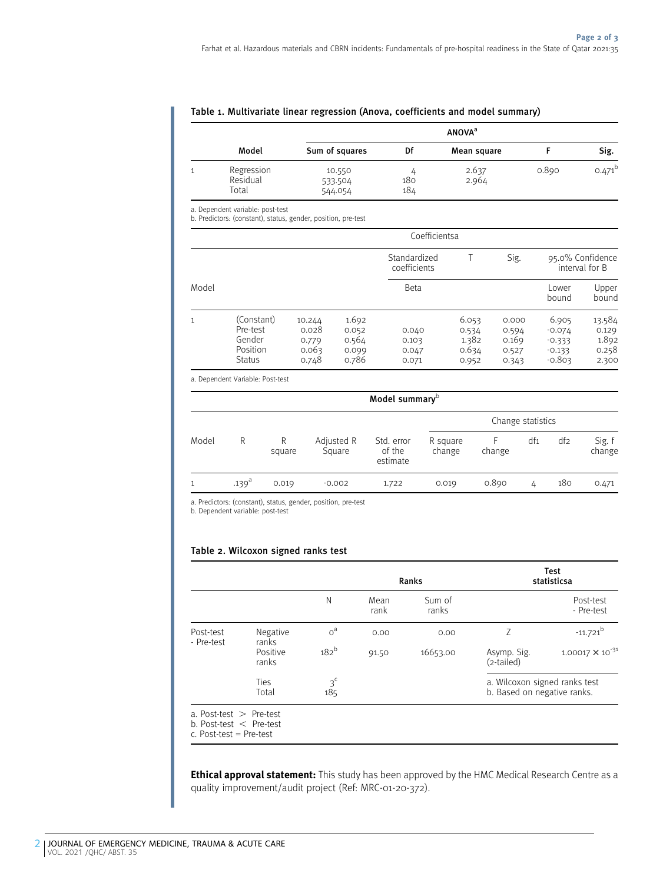| <b>ANOVA</b> <sup>a</sup>       |                              |            |                |       |           |  |
|---------------------------------|------------------------------|------------|----------------|-------|-----------|--|
| Model                           | Sum of squares               | Df         | Mean square    |       | Sig.      |  |
| Regression<br>Residual<br>Total | 10.550<br>533.504<br>544.054 | 180<br>184 | 2.637<br>2.964 | 0.890 | $0.471^b$ |  |

### Table 1. Multivariate linear regression (Anova, coefficients and model summary)

a. Dependent variable: post-test

b. Predictors: (constant), status, gender, position, pre-test

|              |                                                               |                                            |                                           | Coefficientsa                    |                                           |                                           |                                                       |                                            |
|--------------|---------------------------------------------------------------|--------------------------------------------|-------------------------------------------|----------------------------------|-------------------------------------------|-------------------------------------------|-------------------------------------------------------|--------------------------------------------|
|              |                                                               |                                            |                                           | Standardized<br>coefficients     |                                           | Sig.                                      | 95.0% Confidence<br>interval for B                    |                                            |
| Model        |                                                               |                                            |                                           | Beta                             |                                           |                                           | Lower<br>bound                                        | Upper<br>bound                             |
| $\mathbf{1}$ | (Constant)<br>Pre-test<br>Gender<br>Position<br><b>Status</b> | 10.244<br>0.028<br>0.779<br>0.063<br>0.748 | 1.692<br>0.052<br>0.564<br>0.099<br>0.786 | 0.040<br>0.103<br>0.047<br>0.071 | 6.053<br>0.534<br>1.382<br>0.634<br>0.952 | 0.000<br>0.594<br>0.169<br>0.527<br>0.343 | 6.905<br>$-0.074$<br>$-0.333$<br>$-0.133$<br>$-0.803$ | 13.584<br>0.129<br>1.892<br>0.258<br>2.300 |

a. Dependent Variable: Post-test

| Model summary <sup>b</sup> |            |             |                      |                                  |                    |        |                 |     |                  |
|----------------------------|------------|-------------|----------------------|----------------------------------|--------------------|--------|-----------------|-----|------------------|
|                            |            |             |                      |                                  | Change statistics  |        |                 |     |                  |
| Model                      | R          | R<br>square | Adjusted R<br>Square | Std. error<br>of the<br>estimate | R square<br>change | change | df <sub>1</sub> | df2 | Sig. f<br>change |
|                            | $.139^{a}$ | 0.019       | $-0.002$             | 1.722                            | 0.019              | 0.890  | 4               | 180 | 0.471            |
|                            |            |             |                      |                                  |                    |        |                 |     |                  |

a. Predictors: (constant), status, gender, position, pre-test

b. Dependent variable: post-test

### Table 2. Wilcoxon signed ranks test

|            |                            | Ranks                 |              |                 |                                                              | <b>Test</b><br>statisticsa |
|------------|----------------------------|-----------------------|--------------|-----------------|--------------------------------------------------------------|----------------------------|
|            |                            | N                     | Mean<br>rank | Sum of<br>ranks |                                                              | Post-test<br>- Pre-test    |
| Post-test  | Negative                   | o <sup>a</sup>        | 0.00         | 0.00            | 7                                                            | $-11.721$ <sup>b</sup>     |
| - Pre-test | ranks<br>Positive<br>ranks | 182 <sup>b</sup>      | 91.50        | 16653.00        | Asymp. Sig.<br>(2-tailed)                                    | $1.00017 \times 10^{-31}$  |
|            | Ties<br>Total              | 3 <sup>c</sup><br>185 |              |                 | a. Wilcoxon signed ranks test<br>b. Based on negative ranks. |                            |

b. Post-test  $\langle$  Pre-test

c. Post-test = Pre-test

Ethical approval statement: This study has been approved by the HMC Medical Research Centre as a quality improvement/audit project (Ref: MRC-01-20-372).